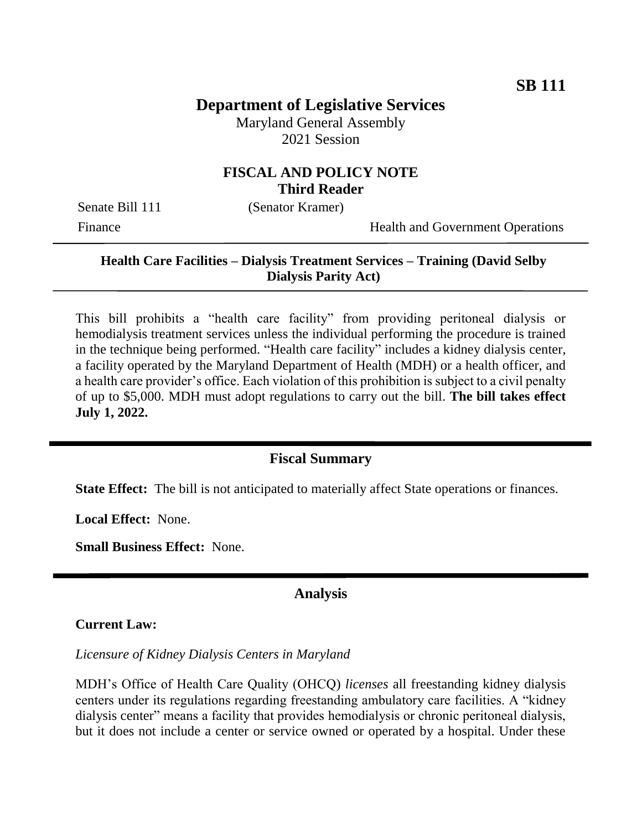# **Department of Legislative Services**

Maryland General Assembly 2021 Session

## **FISCAL AND POLICY NOTE Third Reader**

Senate Bill 111 (Senator Kramer)

Finance Health and Government Operations

### **Health Care Facilities – Dialysis Treatment Services – Training (David Selby Dialysis Parity Act)**

This bill prohibits a "health care facility" from providing peritoneal dialysis or hemodialysis treatment services unless the individual performing the procedure is trained in the technique being performed. "Health care facility" includes a kidney dialysis center, a facility operated by the Maryland Department of Health (MDH) or a health officer, and a health care provider's office. Each violation of this prohibition is subject to a civil penalty of up to \$5,000. MDH must adopt regulations to carry out the bill. **The bill takes effect July 1, 2022.**

### **Fiscal Summary**

**State Effect:** The bill is not anticipated to materially affect State operations or finances.

**Local Effect:** None.

**Small Business Effect:** None.

#### **Analysis**

#### **Current Law:**

*Licensure of Kidney Dialysis Centers in Maryland*

MDH's Office of Health Care Quality (OHCQ) *licenses* all freestanding kidney dialysis centers under its regulations regarding freestanding ambulatory care facilities. A "kidney dialysis center" means a facility that provides hemodialysis or chronic peritoneal dialysis, but it does not include a center or service owned or operated by a hospital. Under these